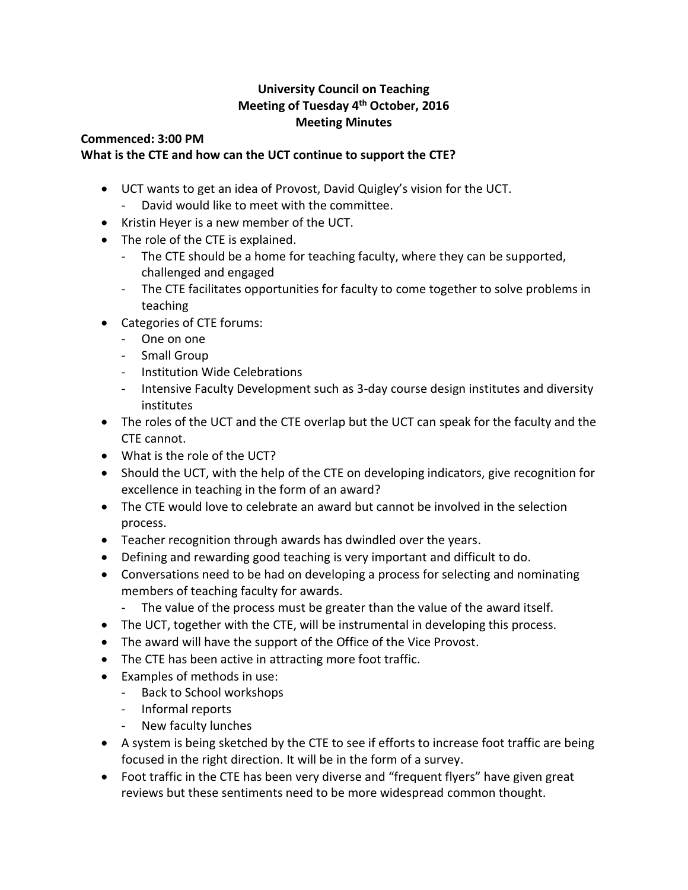## **University Council on Teaching Meeting of Tuesday 4th October, 2016 Meeting Minutes**

## **Commenced: 3:00 PM What is the CTE and how can the UCT continue to support the CTE?**

- UCT wants to get an idea of Provost, David Quigley's vision for the UCT.
	- David would like to meet with the committee.
- Kristin Heyer is a new member of the UCT.
- The role of the CTE is explained.
	- The CTE should be a home for teaching faculty, where they can be supported, challenged and engaged
	- The CTE facilitates opportunities for faculty to come together to solve problems in teaching
- Categories of CTE forums:
	- One on one
	- Small Group
	- Institution Wide Celebrations
	- Intensive Faculty Development such as 3-day course design institutes and diversity institutes
- The roles of the UCT and the CTE overlap but the UCT can speak for the faculty and the CTE cannot.
- What is the role of the UCT?
- Should the UCT, with the help of the CTE on developing indicators, give recognition for excellence in teaching in the form of an award?
- The CTE would love to celebrate an award but cannot be involved in the selection process.
- Teacher recognition through awards has dwindled over the years.
- Defining and rewarding good teaching is very important and difficult to do.
- Conversations need to be had on developing a process for selecting and nominating members of teaching faculty for awards.
	- The value of the process must be greater than the value of the award itself.
- The UCT, together with the CTE, will be instrumental in developing this process.
- The award will have the support of the Office of the Vice Provost.
- The CTE has been active in attracting more foot traffic.
- Examples of methods in use:
	- Back to School workshops
	- Informal reports
	- New faculty lunches
- A system is being sketched by the CTE to see if efforts to increase foot traffic are being focused in the right direction. It will be in the form of a survey.
- Foot traffic in the CTE has been very diverse and "frequent flyers" have given great reviews but these sentiments need to be more widespread common thought.